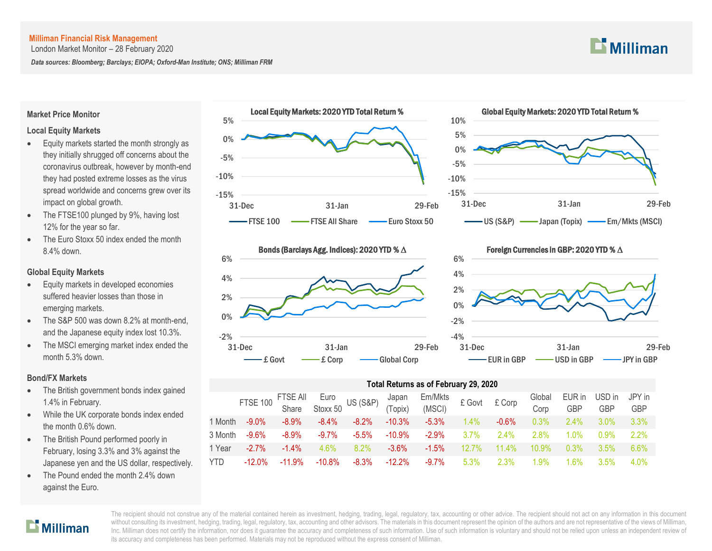London Market Monitor – 28 February 2020

*Data sources: Bloomberg; Barclays; EIOPA; Oxford-Man Institute; ONS; Milliman FRM*



#### **Market Price Monitor**

#### **Local Equity Markets**

- Equity markets started the month strongly as they initially shrugged off concerns about the coronavirus outbreak, however by month-end they had posted extreme losses as the virus spread worldwide and concerns grew over its impact on global growth.
- The FTSE100 plunged by 9%, having lost 12% for the year so far.
- The Euro Stoxx 50 index ended the month 8.4% down.

#### **Global Equity Markets**

- Equity markets in developed economies suffered heavier losses than those in emerging markets.
- The S&P 500 was down 8.2% at month-end, and the Japanese equity index lost 10.3%.
- The MSCI emerging market index ended the month 5.3% down.

#### **Bond/FX Markets**

- The British government bonds index gained 1.4% in February.
- While the UK corporate bonds index ended the month 0.6% down.
- The British Pound performed poorly in February, losing 3.3% and 3% against the Japanese yen and the US dollar, respectively.
- The Pound ended the month 2.4% down against the Euro.







Foreign Currencies in GBP: 2020 YTD % ∆



#### **Total Returns as of February 29, 2020**

|            | FTSE 100 FTSE All Euro<br>Share Stoxx 50 US (S&P) (Topix) |          |           |          |           | Em/Mkts<br>(MSCI) | £ Govt £ Corp |          | Global<br>Corp | EUR in<br><b>GBP</b> | USD in<br><b>GBP</b> | JPY in<br><b>GBP</b> |
|------------|-----------------------------------------------------------|----------|-----------|----------|-----------|-------------------|---------------|----------|----------------|----------------------|----------------------|----------------------|
| 1 Month    | $-9.0\%$                                                  | $-8.9\%$ | $-8.4\%$  | $-8.2\%$ | $-10.3%$  | $-5.3\%$          | $1.4\%$       | $-0.6\%$ | 0.3%           | $2.4\%$              | $3.0\%$              | $3.3\%$              |
| 3 Month    | $-9.6%$                                                   | $-8.9\%$ | $-9.7\%$  | $-5.5%$  | $-10.9\%$ | $-2.9\%$          | $3.7\%$       | $2.4\%$  | 2.8%           | $1.0\%$              | $0.9\%$              | 2.2%                 |
| 1 Year     | $-2.7\%$                                                  | $-1.4\%$ | 4.6%      | $8.2\%$  | $-3.6\%$  | $-1.5\%$          | $12.7\%$      | $11.4\%$ | $10.9\%$       | $0.3\%$              | $3.5\%$              | 6.6%                 |
| <b>YTD</b> | $-12.0\%$                                                 | $-11.9%$ | $-10.8\%$ | $-8.3%$  | $-12.2%$  | -9.7%             | $5.3\%$       | $2.3\%$  | 1.9%           | $.6\%$               | $3.5\%$              | 4.0%                 |

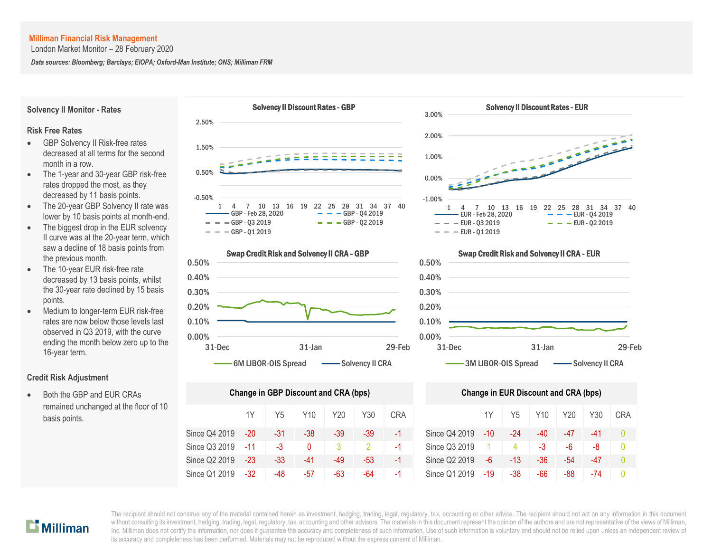London Market Monitor – 28 February 2020

*Data sources: Bloomberg; Barclays; EIOPA; Oxford-Man Institute; ONS; Milliman FRM*

**Solvency II Monitor - Rates**

#### Solvency II Discount Rates - GBP





- GBP Solvency II Risk-free rates decreased at all terms for the second month in a row.
- The 1-year and 30-year GBP risk-free rates dropped the most, as they decreased by 11 basis points.
- The 20-year GBP Solvency II rate was lower by 10 basis points at month-end.
- The biggest drop in the EUR solvency II curve was at the 20-year term, which saw a decline of 18 basis points from the previous month.
- The 10-year EUR risk-free rate decreased by 13 basis points, whilst the 30-year rate declined by 15 basis points.
- Medium to longer-term EUR risk-free rates are now below those levels last observed in Q3 2019, with the curve ending the month below zero up to the 16-year term.

#### **Credit Risk Adjustment**

 Both the GBP and EUR CRAs remained unchanged at the floor of 10 basis points.







| Change in GBP Discount and CRA (bps) | <b>Change in EUR Discount and CRA (bps)</b> |       |       |     |     |            |               |     |                |     |       |       |    |
|--------------------------------------|---------------------------------------------|-------|-------|-----|-----|------------|---------------|-----|----------------|-----|-------|-------|----|
|                                      | 1Y                                          | Y5    | Y10   | Y20 | Y30 | <b>CRA</b> |               | 1Y  | Y <sub>5</sub> | Y10 | Y20   | Y30   | СR |
| Since Q4 2019                        | $-20$                                       | $-31$ | -38   | -39 | -39 | $-1$       | Since Q4 2019 | -10 | -24            | -40 | $-47$ | $-41$ | Λ  |
| Since Q3 2019                        | $-11$                                       | $-3$  | 0     | 3   |     | -1         | Since Q3 2019 |     | 4              | -3  | -6    | -8    | 0  |
| Since Q2 2019                        | $-23$                                       | $-33$ | $-41$ | -49 | -53 | $-1$       | Since Q2 2019 | -6  | $-13$          | -36 | -54   | -47   | Λ  |
| Since Q1 2019                        | $-32$                                       | -48   | -57   | -63 | -64 | - 1        | Since Q1 2019 | -19 | -38            | -66 | -88   | -74   | Ω  |



## 0.10% 0.20% 0.30% 0.40% 0.50% Swap Credit Risk and Solvency II CRA - EUR

0.00% 31-Dec 31-Jan 29-Feb 3M LIBOR-OIS Spread - Solvency II CRA

|     | nge in GBP Discount and CRA (bps) |          |     |       |            | <b>Change in EUR Discount and CRA (bps)</b> |       |     |      |     |     |            |  |
|-----|-----------------------------------|----------|-----|-------|------------|---------------------------------------------|-------|-----|------|-----|-----|------------|--|
| 1Y  | Y <sub>5</sub>                    | Y10      | Y20 | Y30   | <b>CRA</b> |                                             | 1Y    | Y5  | Y10  | Y20 | Y30 | <b>CRA</b> |  |
| -20 | $-31$                             | $-38$    | -39 | $-39$ | $-1$       | Since Q4 2019                               | $-10$ | -24 | -40  | -47 | -41 |            |  |
| -11 | -3                                | $\Omega$ |     |       | $-1$       | Since Q3 2019                               |       | 4   | $-3$ | -6  | -8  |            |  |
| -23 | $-33$                             | -41      | -49 | -53   | $-1$       | Since Q2 2019                               | $-6$  | -13 | -36  | -54 | -47 |            |  |
| -32 | -48                               | -57      | -63 | -64   | $-1$       | Since Q1 2019                               | -19   | -38 | -66  | -88 | -74 |            |  |

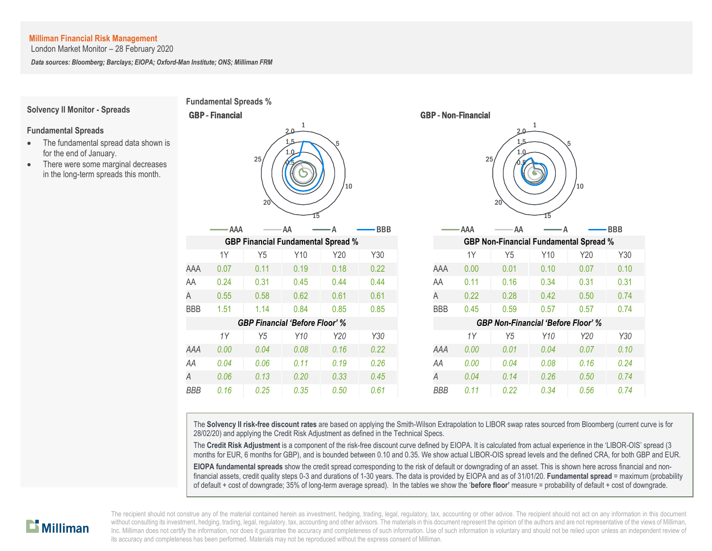London Market Monitor – 28 February 2020

*Data sources: Bloomberg; Barclays; EIOPA; Oxford-Man Institute; ONS; Milliman FRM*

#### **Solvency II Monitor - Spreads**

#### **Fundamental Spreads**

- The fundamental spread data shown is for the end of January.
- There were some marginal decreases in the long-term spreads this month.



 $1Y$  $0.00$  $0.04$ 0.06



The **Solvency II risk-free discount rates** are based on applying the Smith-Wilson Extrapolation to LIBOR swap rates sourced from Bloomberg (current curve is for 28/02/20) and applying the Credit Risk Adjustment as defined in the Technical Specs.

The **Credit Risk Adjustment** is a component of the risk-free discount curve defined by EIOPA. It is calculated from actual experience in the 'LIBOR-OIS' spread (3 months for EUR, 6 months for GBP), and is bounded between 0.10 and 0.35. We show actual LIBOR-OIS spread levels and the defined CRA, for both GBP and EUR.

**EIOPA fundamental spreads** show the credit spread corresponding to the risk of default or downgrading of an asset. This is shown here across financial and nonfinancial assets, credit quality steps 0-3 and durations of 1-30 years. The data is provided by EIOPA and as of 31/01/20. **Fundamental spread** = maximum (probability of default + cost of downgrade; 35% of long-term average spread). In the tables we show the '**before floor'** measure = probability of default + cost of downgrade.

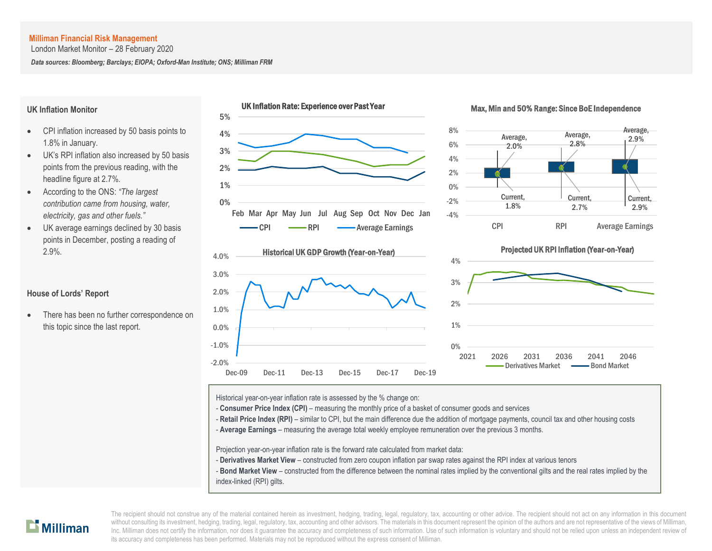London Market Monitor – 28 February 2020

*Data sources: Bloomberg; Barclays; EIOPA; Oxford-Man Institute; ONS; Milliman FRM*

#### **UK Inflation Monitor**

- CPI inflation increased by 50 basis points to 1.8% in January.
- UK's RPI inflation also increased by 50 basis points from the previous reading, with the headline figure at 2.7%.
- According to the ONS: *"The largest contribution came from housing, water, electricity, gas and other fuels."*
- UK average earnings declined by 30 basis points in December, posting a reading of 2.9%.

### **House of Lords' Report**

• There has been no further correspondence on this topic since the last report.



Historical year-on-year inflation rate is assessed by the % change on:

- **Consumer Price Index (CPI)** – measuring the monthly price of a basket of consumer goods and services

- Retail Price Index (RPI) – similar to CPI, but the main difference due the addition of mortgage payments, council tax and other housing costs

A - **Average Earnings** – measuring the average total weekly employee remuneration over the previous 3 months.

Projection year-on-year inflation rate is the forward rate calculated from market data:

- **Derivatives Market View** – constructed from zero coupon inflation par swap rates against the RPI index at various tenors

- **Bond Market View** – constructed from the difference between the nominal rates implied by the conventional gilts and the real rates implied by the index-linked (RPI) gilts.

# $\mathbf{L}$  Milliman

The recipient should not construe any of the material contained herein as investment, hedging, trading, legal, regulatory, tax, accounting or other advice. The recipient should not act on any information in this document without consulting its investment, hedging, trading, legal, regulatory, tax, accounting and other advisors. The materials in this document represent the opinion of the authors and are not representative of the views of Mil Inc. Milliman does not certify the information, nor does it guarantee the accuracy and completeness of such information. Use of such information is voluntary and should not be relied upon unless an independent review of its accuracy and completeness has been performed. Materials may not be reproduced without the express consent of Milliman.

#### UK Inflation Rate: Experience over Past Year Max, Min and 50% Range: Since BoE Independence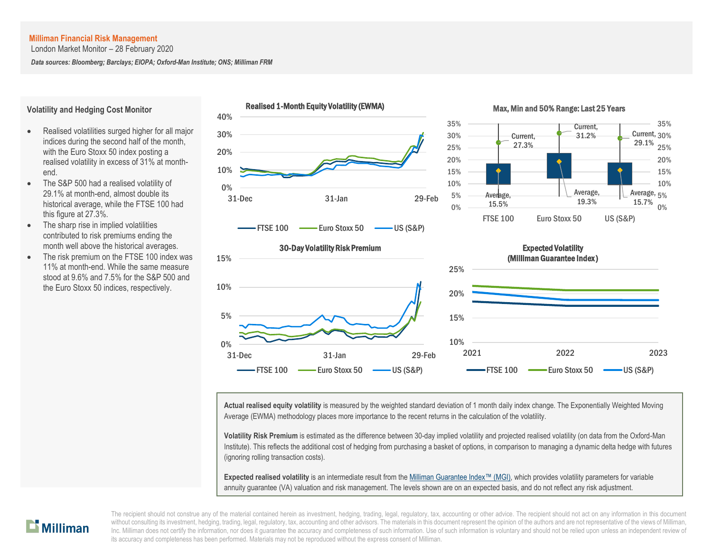**Volatility and Hedging Cost Monitor**

end.

this figure at 27.3%.

London Market Monitor – 28 February 2020

*Data sources: Bloomberg; Barclays; EIOPA; Oxford-Man Institute; ONS; Milliman FRM*



Max, Min and 50% Range: Last 25 Years



#### contributed to risk premiums ending the month well above the historical averages. The risk premium on the FTSE 100 index was 11% at month-end. While the same measure stood at 9.6% and 7.5% for the S&P 500 and

the Euro Stoxx 50 indices, respectively.

 The S&P 500 had a realised volatility of 29.1% at month-end, almost double its historical average, while the FTSE 100 had

The sharp rise in implied volatilities

 Realised volatilities surged higher for all major indices during the second half of the month, with the Euro Stoxx 50 index posting a realised volatility in excess of 31% at month-



**Actual realised equity volatility** is measured by the weighted standard deviation of 1 month daily index change. The Exponentially Weighted Moving Average (EWMA) methodology places more importance to the recent returns in the calculation of the volatility.

**Volatility Risk Premium** is estimated as the difference between 30-day implied volatility and projected realised volatility (on data from the Oxford-Man Institute). This reflects the additional cost of hedging from purchasing a basket of options, in comparison to managing a dynamic delta hedge with futures (ignoring rolling transaction costs).

**Expected realised volatility** is an intermediate result from th[e Milliman Guarantee Index](http://uk.milliman.com/Solutions/Products/The-Milliman-Guarantee-Index-and-Milliman-Hedge-Cost-Index/)™ (MGI), which provides volatility parameters for variable annuity guarantee (VA) valuation and risk management. The levels shown are on an expected basis, and do not reflect any risk adjustment.